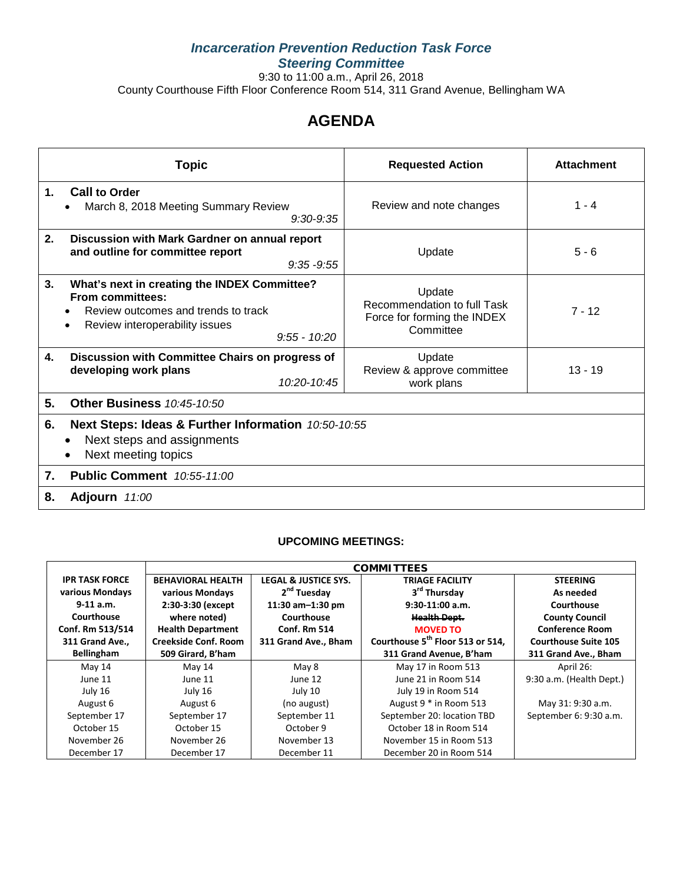# *Incarceration Prevention Reduction Task Force Steering Committee*

9:30 to 11:00 a.m., April 26, 2018 County Courthouse Fifth Floor Conference Room 514, 311 Grand Avenue, Bellingham WA

# **AGENDA**

| <b>Topic</b>                                                                                                                                                                          | <b>Requested Action</b>                                                           | <b>Attachment</b> |
|---------------------------------------------------------------------------------------------------------------------------------------------------------------------------------------|-----------------------------------------------------------------------------------|-------------------|
| <b>Call to Order</b><br>1.<br>March 8, 2018 Meeting Summary Review<br>$\bullet$<br>$9:30 - 9:35$                                                                                      | Review and note changes                                                           | $1 - 4$           |
| 2.<br>Discussion with Mark Gardner on annual report<br>and outline for committee report<br>$9:35 - 9:55$                                                                              | Update                                                                            | $5 - 6$           |
| 3.<br>What's next in creating the INDEX Committee?<br><b>From committees:</b><br>Review outcomes and trends to track<br>Review interoperability issues<br>$\bullet$<br>$9:55 - 10:20$ | Update<br>Recommendation to full Task<br>Force for forming the INDEX<br>Committee | $7 - 12$          |
| Discussion with Committee Chairs on progress of<br>4.<br>developing work plans<br>10:20-10:45                                                                                         | Update<br>Review & approve committee<br>work plans                                | $13 - 19$         |
| 5.<br><b>Other Business 10:45-10:50</b>                                                                                                                                               |                                                                                   |                   |
| Next Steps: Ideas & Further Information 10:50-10:55<br>6.<br>Next steps and assignments<br>Next meeting topics                                                                        |                                                                                   |                   |
| <b>Public Comment</b> 10:55-11:00<br>7.                                                                                                                                               |                                                                                   |                   |
| 8.<br><b>Adjourn</b> 11:00                                                                                                                                                            |                                                                                   |                   |

#### **UPCOMING MEETINGS:**

|                       |                             |                                 | <b>COMMITTEES</b>                            |                             |
|-----------------------|-----------------------------|---------------------------------|----------------------------------------------|-----------------------------|
| <b>IPR TASK FORCE</b> | <b>BEHAVIORAL HEALTH</b>    | <b>LEGAL &amp; JUSTICE SYS.</b> | <b>TRIAGE FACILITY</b>                       | <b>STEERING</b>             |
| various Mondays       | various Mondays             | 2 <sup>nd</sup> Tuesday         | 3 <sup>rd</sup> Thursday                     | As needed                   |
| $9-11$ a.m.           | 2:30-3:30 (except           | 11:30 $am-1:30$ pm              | $9:30-11:00$ a.m.                            | Courthouse                  |
| Courthouse            | where noted)                | Courthouse                      | <b>Health Dept.</b>                          | <b>County Council</b>       |
| Conf. Rm 513/514      | <b>Health Department</b>    | <b>Conf. Rm 514</b>             | <b>MOVED TO</b>                              | <b>Conference Room</b>      |
| 311 Grand Ave.,       | <b>Creekside Conf. Room</b> | 311 Grand Ave., Bham            | Courthouse 5 <sup>th</sup> Floor 513 or 514, | <b>Courthouse Suite 105</b> |
| <b>Bellingham</b>     | 509 Girard, B'ham           |                                 | 311 Grand Avenue, B'ham                      | 311 Grand Ave., Bham        |
| May 14                | May 14                      | May 8                           | May 17 in Room 513                           | April 26:                   |
| June 11               | June 11                     | June 12                         | June 21 in Room 514                          | 9:30 a.m. (Health Dept.)    |
| July 16               | July 16                     | July 10                         | July 19 in Room 514                          |                             |
| August 6              | August 6                    | (no august)                     | August 9 * in Room 513                       | May 31: 9:30 a.m.           |
| September 17          | September 17                | September 11                    | September 20: location TBD                   | September 6: 9:30 a.m.      |
| October 15            | October 15                  | October 9                       | October 18 in Room 514                       |                             |
| November 26           | November 26                 | November 13                     | November 15 in Room 513                      |                             |
| December 17           | December 17                 | December 11                     | December 20 in Room 514                      |                             |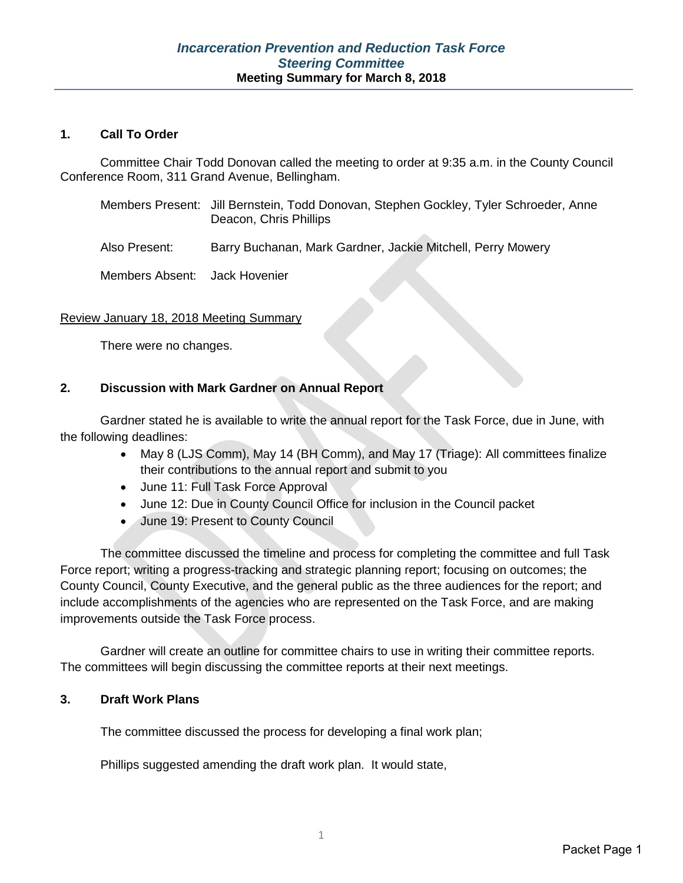#### **1. Call To Order**

Committee Chair Todd Donovan called the meeting to order at 9:35 a.m. in the County Council Conference Room, 311 Grand Avenue, Bellingham.

| Members Present: Jill Bernstein, Todd Donovan, Stephen Gockley, Tyler Schroeder, Anne |
|---------------------------------------------------------------------------------------|
| Deacon, Chris Phillips                                                                |

Also Present: Barry Buchanan, Mark Gardner, Jackie Mitchell, Perry Mowery

Members Absent: Jack Hovenier

#### Review January 18, 2018 Meeting Summary

There were no changes.

#### **2. Discussion with Mark Gardner on Annual Report**

Gardner stated he is available to write the annual report for the Task Force, due in June, with the following deadlines:

- May 8 (LJS Comm), May 14 (BH Comm), and May 17 (Triage): All committees finalize their contributions to the annual report and submit to you
- June 11: Full Task Force Approval
- June 12: Due in County Council Office for inclusion in the Council packet
- June 19: Present to County Council

The committee discussed the timeline and process for completing the committee and full Task Force report; writing a progress-tracking and strategic planning report; focusing on outcomes; the County Council, County Executive, and the general public as the three audiences for the report; and include accomplishments of the agencies who are represented on the Task Force, and are making improvements outside the Task Force process.

Gardner will create an outline for committee chairs to use in writing their committee reports. The committees will begin discussing the committee reports at their next meetings.

### **3. Draft Work Plans**

The committee discussed the process for developing a final work plan;

Phillips suggested amending the draft work plan. It would state,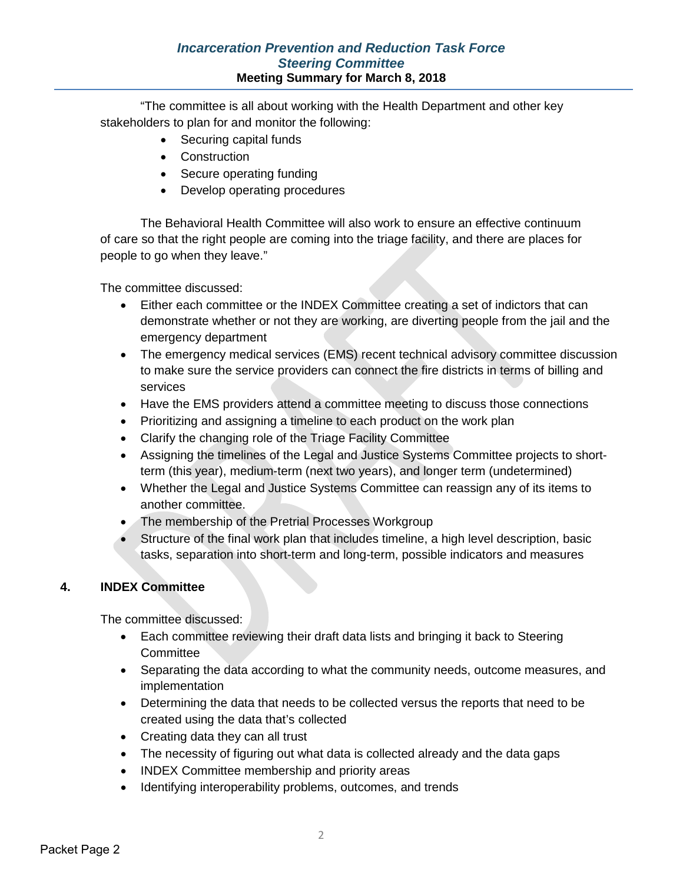## *Incarceration Prevention and Reduction Task Force Steering Committee* **Meeting Summary for March 8, 2018**

"The committee is all about working with the Health Department and other key stakeholders to plan for and monitor the following:

- Securing capital funds
- Construction
- Secure operating funding
- Develop operating procedures

The Behavioral Health Committee will also work to ensure an effective continuum of care so that the right people are coming into the triage facility, and there are places for people to go when they leave."

The committee discussed:

- Either each committee or the INDEX Committee creating a set of indictors that can demonstrate whether or not they are working, are diverting people from the jail and the emergency department
- The emergency medical services (EMS) recent technical advisory committee discussion to make sure the service providers can connect the fire districts in terms of billing and services
- Have the EMS providers attend a committee meeting to discuss those connections
- Prioritizing and assigning a timeline to each product on the work plan
- Clarify the changing role of the Triage Facility Committee
- Assigning the timelines of the Legal and Justice Systems Committee projects to shortterm (this year), medium-term (next two years), and longer term (undetermined)
- Whether the Legal and Justice Systems Committee can reassign any of its items to another committee.
- The membership of the Pretrial Processes Workgroup
- Structure of the final work plan that includes timeline, a high level description, basic tasks, separation into short-term and long-term, possible indicators and measures

#### **4. INDEX Committee**

The committee discussed:

- Each committee reviewing their draft data lists and bringing it back to Steering **Committee**
- Separating the data according to what the community needs, outcome measures, and implementation
- Determining the data that needs to be collected versus the reports that need to be created using the data that's collected
- Creating data they can all trust
- The necessity of figuring out what data is collected already and the data gaps
- INDEX Committee membership and priority areas
- Identifying interoperability problems, outcomes, and trends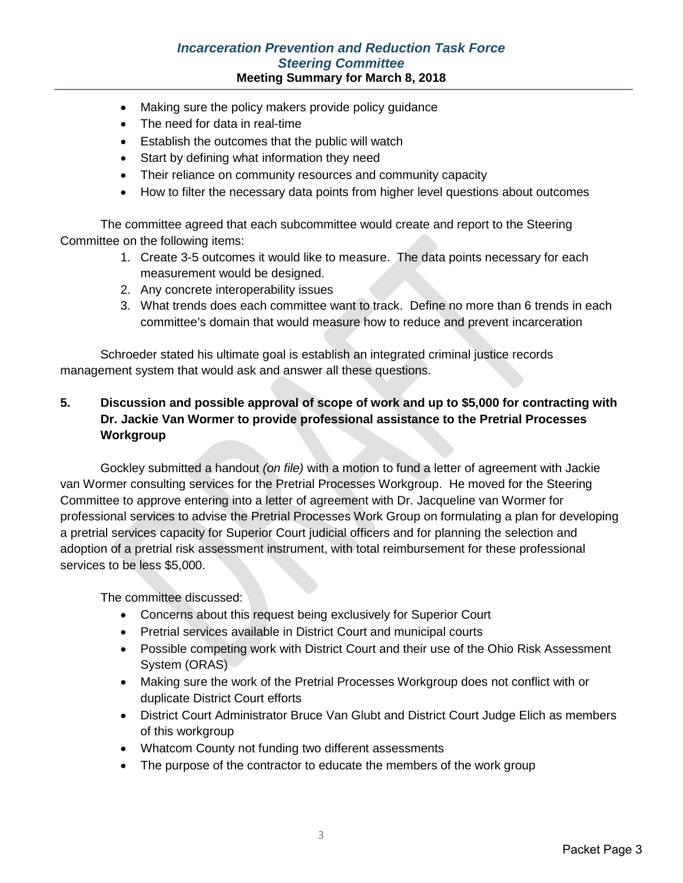## *Incarceration Prevention and Reduction Task Force Steering Committee* **Meeting Summary for March 8, 2018**

- Making sure the policy makers provide policy guidance
- The need for data in real-time
- Establish the outcomes that the public will watch
- Start by defining what information they need
- Their reliance on community resources and community capacity
- How to filter the necessary data points from higher level questions about outcomes

The committee agreed that each subcommittee would create and report to the Steering Committee on the following items:

- 1. Create 3-5 outcomes it would like to measure. The data points necessary for each measurement would be designed.
- 2. Any concrete interoperability issues
- 3. What trends does each committee want to track. Define no more than 6 trends in each committee's domain that would measure how to reduce and prevent incarceration

Schroeder stated his ultimate goal is establish an integrated criminal justice records management system that would ask and answer all these questions.

# **5. Discussion and possible approval of scope of work and up to \$5,000 for contracting with Dr. Jackie Van Wormer to provide professional assistance to the Pretrial Processes Workgroup**

Gockley submitted a handout *(on file)* with a motion to fund a letter of agreement with Jackie van Wormer consulting services for the Pretrial Processes Workgroup. He moved for the Steering Committee to approve entering into a letter of agreement with Dr. Jacqueline van Wormer for professional services to advise the Pretrial Processes Work Group on formulating a plan for developing a pretrial services capacity for Superior Court judicial officers and for planning the selection and adoption of a pretrial risk assessment instrument, with total reimbursement for these professional services to be less \$5,000.

The committee discussed:

- Concerns about this request being exclusively for Superior Court
- Pretrial services available in District Court and municipal courts
- Possible competing work with District Court and their use of the Ohio Risk Assessment System (ORAS)
- Making sure the work of the Pretrial Processes Workgroup does not conflict with or duplicate District Court efforts
- District Court Administrator Bruce Van Glubt and District Court Judge Elich as members of this workgroup
- Whatcom County not funding two different assessments
- The purpose of the contractor to educate the members of the work group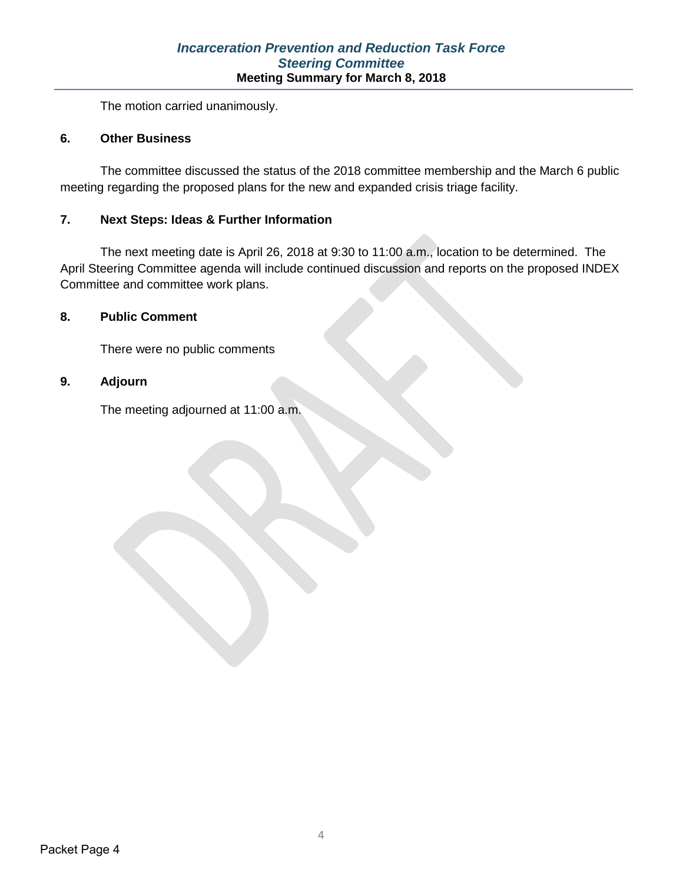The motion carried unanimously.

#### **6. Other Business**

The committee discussed the status of the 2018 committee membership and the March 6 public meeting regarding the proposed plans for the new and expanded crisis triage facility.

#### **7. Next Steps: Ideas & Further Information**

The next meeting date is April 26, 2018 at 9:30 to 11:00 a.m., location to be determined. The April Steering Committee agenda will include continued discussion and reports on the proposed INDEX Committee and committee work plans.

#### **8. Public Comment**

There were no public comments

#### **9. Adjourn**

The meeting adjourned at 11:00 a.m.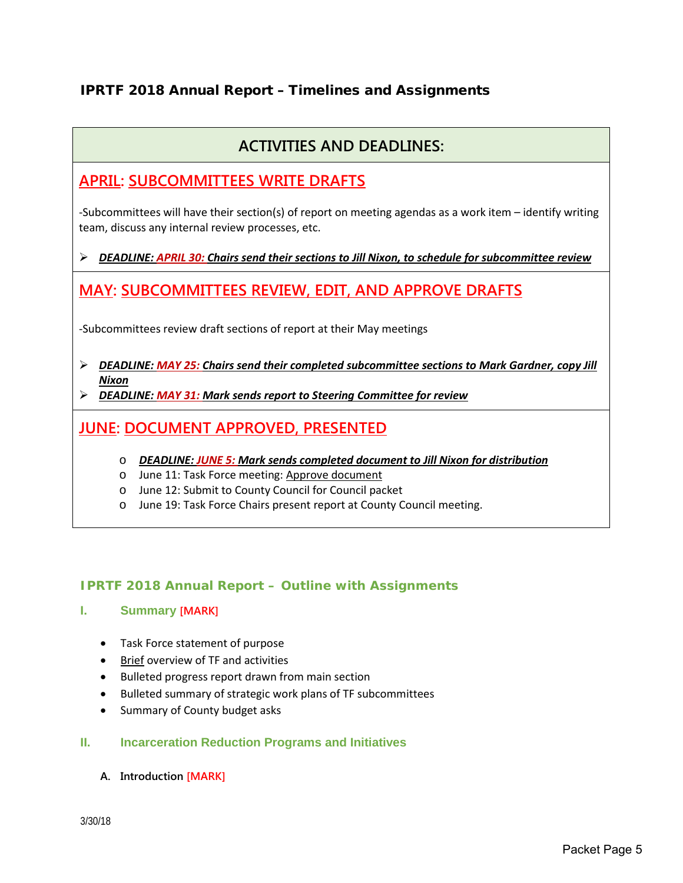# IPRTF 2018 Annual Report – Timelines and Assignments

# **ACTIVITIES AND DEADLINES:**

# **APRIL: SUBCOMMITTEES WRITE DRAFTS**

-Subcommittees will have their section(s) of report on meeting agendas as a work item – identify writing team, discuss any internal review processes, etc.

#### *DEADLINE: APRIL 30: Chairs send their sections to Jill Nixon, to schedule for subcommittee review*

# **MAY: SUBCOMMITTEES REVIEW, EDIT, AND APPROVE DRAFTS**

-Subcommittees review draft sections of report at their May meetings

- *DEADLINE: MAY 25: Chairs send their completed subcommittee sections to Mark Gardner, copy Jill Nixon*
- *DEADLINE: MAY 31: Mark sends report to Steering Committee for review*

# **JUNE: DOCUMENT APPROVED, PRESENTED**

- o *DEADLINE: JUNE 5: Mark sends completed document to Jill Nixon for distribution*
- o June 11: Task Force meeting: Approve document
- o June 12: Submit to County Council for Council packet
- o June 19: Task Force Chairs present report at County Council meeting.

#### **IPRTF 2018 Annual Report – Outline with Assignments**

#### **I. Summary [MARK]**

- Task Force statement of purpose
- Brief overview of TF and activities
- Bulleted progress report drawn from main section
- Bulleted summary of strategic work plans of TF subcommittees
- Summary of County budget asks

#### **II. Incarceration Reduction Programs and Initiatives**

**A. Introduction [MARK]**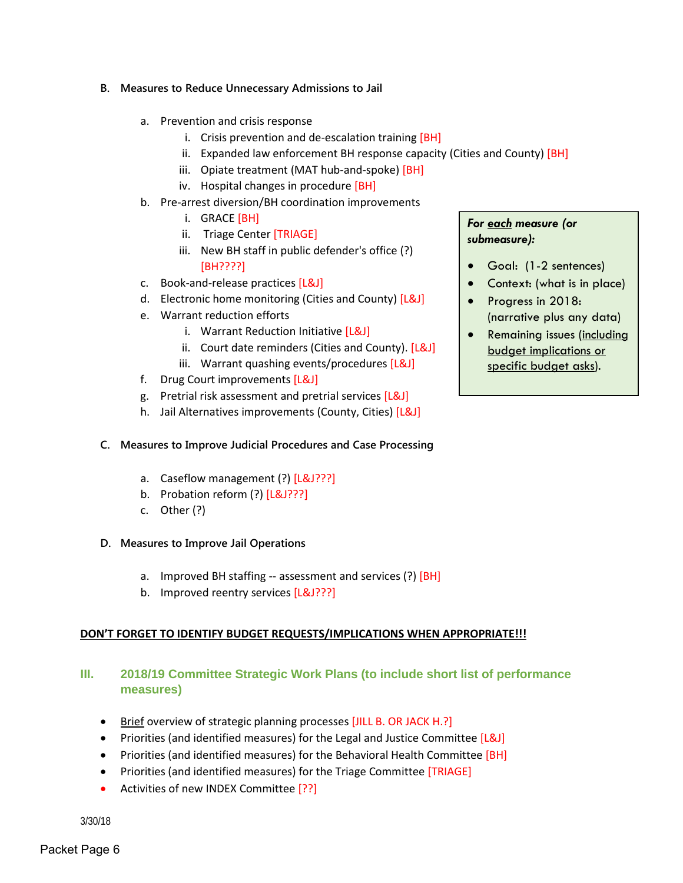- **B. Measures to Reduce Unnecessary Admissions to Jail**
	- a. Prevention and crisis response
		- i. Crisis prevention and de-escalation training [BH]
		- ii. Expanded law enforcement BH response capacity (Cities and County)  $[BH]$
		- iii. Opiate treatment (MAT hub-and-spoke) [BH]
		- iv. Hospital changes in procedure [BH]
	- b. Pre-arrest diversion/BH coordination improvements
		- i. GRACE [BH]
		- ii. Triage Center [TRIAGE]
		- iii. New BH staff in public defender's office (?) [BH????]
	- c. Book-and-release practices [L&J]
	- d. Electronic home monitoring (Cities and County) [L&J]
	- e. Warrant reduction efforts
		- i. Warrant Reduction Initiative [L&J]
		- ii. Court date reminders (Cities and County). [L&J]
		- iii. Warrant quashing events/procedures [L&J]
	- f. Drug Court improvements [L&J]
	- g. Pretrial risk assessment and pretrial services [L&J]
	- h. Jail Alternatives improvements (County, Cities) [L&J]

#### **C. Measures to Improve Judicial Procedures and Case Processing**

- a. Caseflow management (?) [L&J???]
- b. Probation reform (?) [L&J???]
- c. Other (?)
- **D. Measures to Improve Jail Operations** 
	- a. Improved BH staffing -- assessment and services (?) [BH]
	- b. Improved reentry services [L&J???]

#### **DON'T FORGET TO IDENTIFY BUDGET REQUESTS/IMPLICATIONS WHEN APPROPRIATE!!!**

#### **III. 2018/19 Committee Strategic Work Plans (to include short list of performance measures)**

- Brief overview of strategic planning processes [JILL B. OR JACK H.?]
- Priorities (and identified measures) for the Legal and Justice Committee [L&J]
- Priorities (and identified measures) for the Behavioral Health Committee [BH]
- Priorities (and identified measures) for the Triage Committee [TRIAGE]
- Activities of new INDEX Committee [??]

3/30/18

#### *For each measure (or submeasure):*

- Goal: (1-2 sentences)
- Context: (what is in place)
- Progress in 2018: (narrative plus any data)
- Remaining issues (including budget implications or specific budget asks).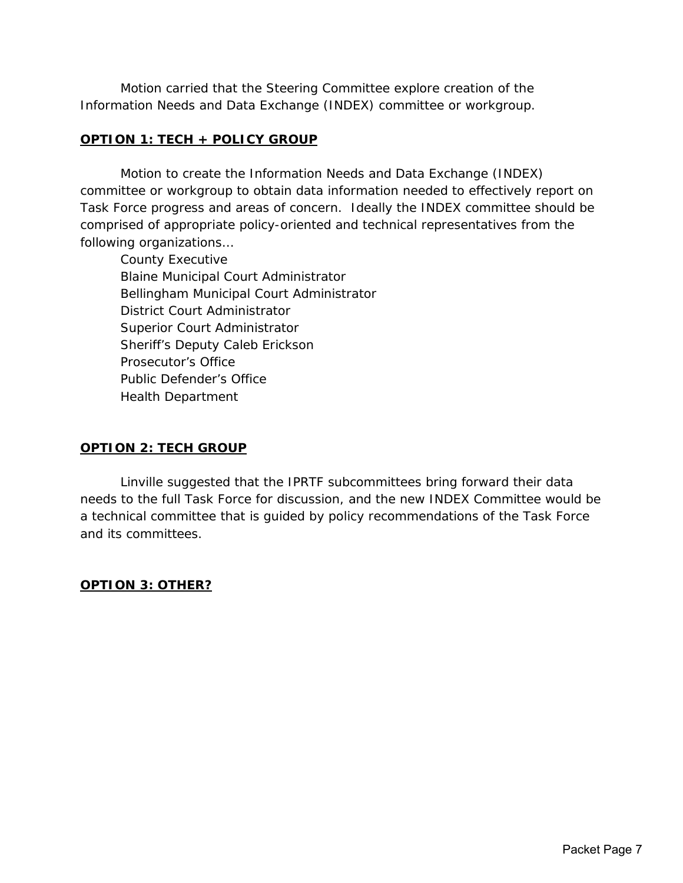Motion carried that the Steering Committee explore creation of the Information Needs and Data Exchange (INDEX) committee or workgroup.

#### **OPTION 1: TECH + POLICY GROUP**

Motion to create the Information Needs and Data Exchange (INDEX) committee or workgroup to obtain data information needed to effectively report on Task Force progress and areas of concern. Ideally the INDEX committee should be comprised of appropriate policy-oriented and technical representatives from the following organizations…

County Executive Blaine Municipal Court Administrator Bellingham Municipal Court Administrator District Court Administrator Superior Court Administrator Sheriff's Deputy Caleb Erickson Prosecutor's Office Public Defender's Office Health Department

#### **OPTION 2: TECH GROUP**

Linville suggested that the IPRTF subcommittees bring forward their data needs to the full Task Force for discussion, and the new INDEX Committee would be a technical committee that is guided by policy recommendations of the Task Force and its committees.

# **OPTION 3: OTHER?**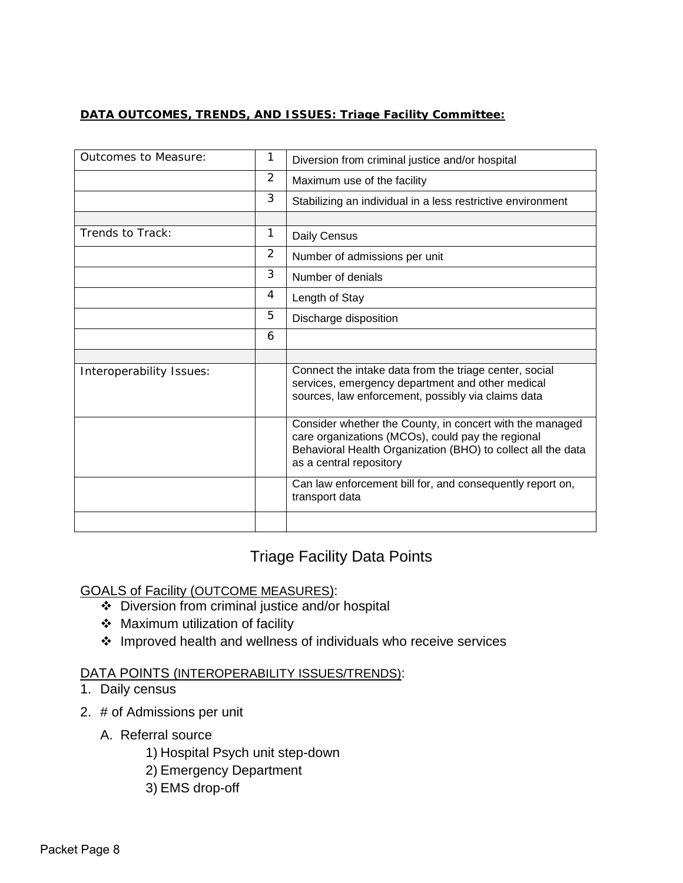# **DATA OUTCOMES, TRENDS, AND ISSUES: Triage Facility Committee:**

| Outcomes to Measure:     | 1              | Diversion from criminal justice and/or hospital                                                                                                                                                          |
|--------------------------|----------------|----------------------------------------------------------------------------------------------------------------------------------------------------------------------------------------------------------|
|                          | $\overline{c}$ | Maximum use of the facility                                                                                                                                                                              |
|                          | 3              | Stabilizing an individual in a less restrictive environment                                                                                                                                              |
|                          |                |                                                                                                                                                                                                          |
| Trends to Track:         | 1              | Daily Census                                                                                                                                                                                             |
|                          | $\overline{2}$ | Number of admissions per unit                                                                                                                                                                            |
|                          | 3              | Number of denials                                                                                                                                                                                        |
|                          | 4              | Length of Stay                                                                                                                                                                                           |
|                          | 5              | Discharge disposition                                                                                                                                                                                    |
|                          | 6              |                                                                                                                                                                                                          |
|                          |                |                                                                                                                                                                                                          |
| Interoperability Issues: |                | Connect the intake data from the triage center, social<br>services, emergency department and other medical<br>sources, law enforcement, possibly via claims data                                         |
|                          |                | Consider whether the County, in concert with the managed<br>care organizations (MCOs), could pay the regional<br>Behavioral Health Organization (BHO) to collect all the data<br>as a central repository |
|                          |                | Can law enforcement bill for, and consequently report on,<br>transport data                                                                                                                              |
|                          |                |                                                                                                                                                                                                          |

# Triage Facility Data Points

GOALS of Facility (OUTCOME MEASURES):

- Diversion from criminal justice and/or hospital
- Maximum utilization of facility
- Improved health and wellness of individuals who receive services

# DATA POINTS (INTEROPERABILITY ISSUES/TRENDS):

- 1. Daily census
- 2. # of Admissions per unit
	- A. Referral source
		- 1) Hospital Psych unit step-down
		- 2) Emergency Department
		- 3) EMS drop-off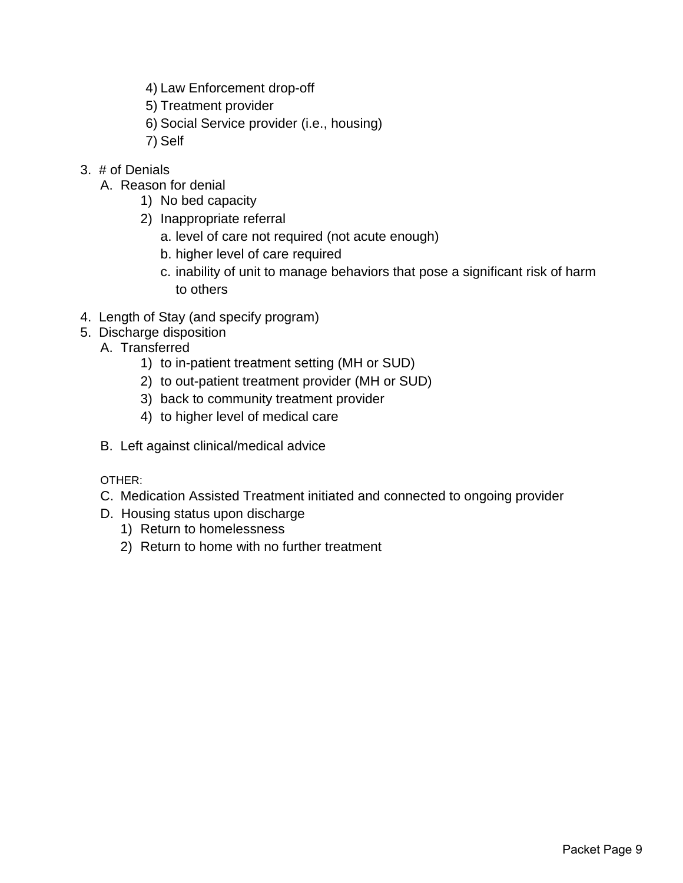- 4) Law Enforcement drop-off
- 5) Treatment provider
- 6) Social Service provider (i.e., housing)
- 7) Self
- 3. # of Denials
	- A. Reason for denial
		- 1) No bed capacity
		- 2) Inappropriate referral
			- a. level of care not required (not acute enough)
			- b. higher level of care required
			- c. inability of unit to manage behaviors that pose a significant risk of harm to others
- 4. Length of Stay (and specify program)
- 5. Discharge disposition
	- A. Transferred
		- 1) to in-patient treatment setting (MH or SUD)
		- 2) to out-patient treatment provider (MH or SUD)
		- 3) back to community treatment provider
		- 4) to higher level of medical care
	- B. Left against clinical/medical advice

OTHER:

- C. Medication Assisted Treatment initiated and connected to ongoing provider
- D. Housing status upon discharge
	- 1) Return to homelessness
	- 2) Return to home with no further treatment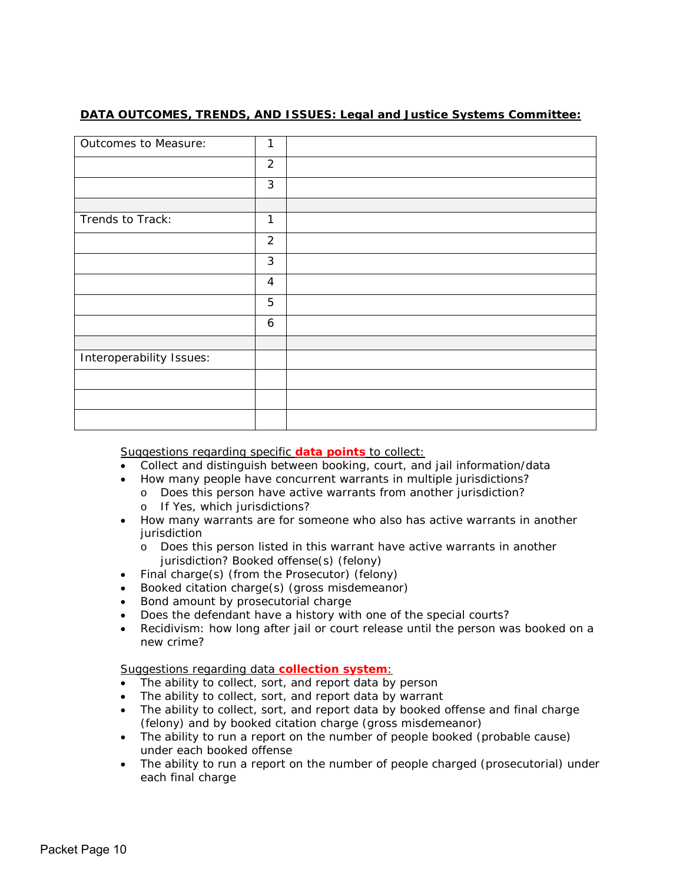#### **DATA OUTCOMES, TRENDS, AND ISSUES: Legal and Justice Systems Committee:**

| Outcomes to Measure:     | 1              |  |
|--------------------------|----------------|--|
|                          | $\overline{2}$ |  |
|                          | 3              |  |
|                          |                |  |
| Trends to Track:         | 1              |  |
|                          | $\overline{2}$ |  |
|                          | 3              |  |
|                          | $\overline{4}$ |  |
|                          | 5              |  |
|                          | 6              |  |
|                          |                |  |
| Interoperability Issues: |                |  |
|                          |                |  |
|                          |                |  |
|                          |                |  |

Suggestions regarding specific **data points** to collect:

- Collect and distinguish between booking, court, and jail information/data
- How many people have concurrent warrants in multiple jurisdictions?
	- o Does this person have active warrants from another jurisdiction?
		- o If Yes, which jurisdictions?
- How many warrants are for someone who also has active warrants in another jurisdiction
	- o Does this person listed in this warrant have active warrants in another jurisdiction? Booked offense(s) *(felony)*
- Final charge(s) (from the Prosecutor) (felony)
- Booked citation charge(s) (gross misdemeanor)
- Bond amount by prosecutorial charge
- Does the defendant have a history with one of the special courts?
- Recidivism: how long after jail or court release until the person was booked on a new crime?

#### Suggestions regarding data **collection system**:

- The ability to collect, sort, and report data by person
- The ability to collect, sort, and report data by warrant
- The ability to collect, sort, and report data by booked offense and final charge (felony) and by booked citation charge (gross misdemeanor)
- The ability to run a report on the number of people booked (probable cause) under each booked offense
- The ability to run a report on the number of people charged (prosecutorial) under each final charge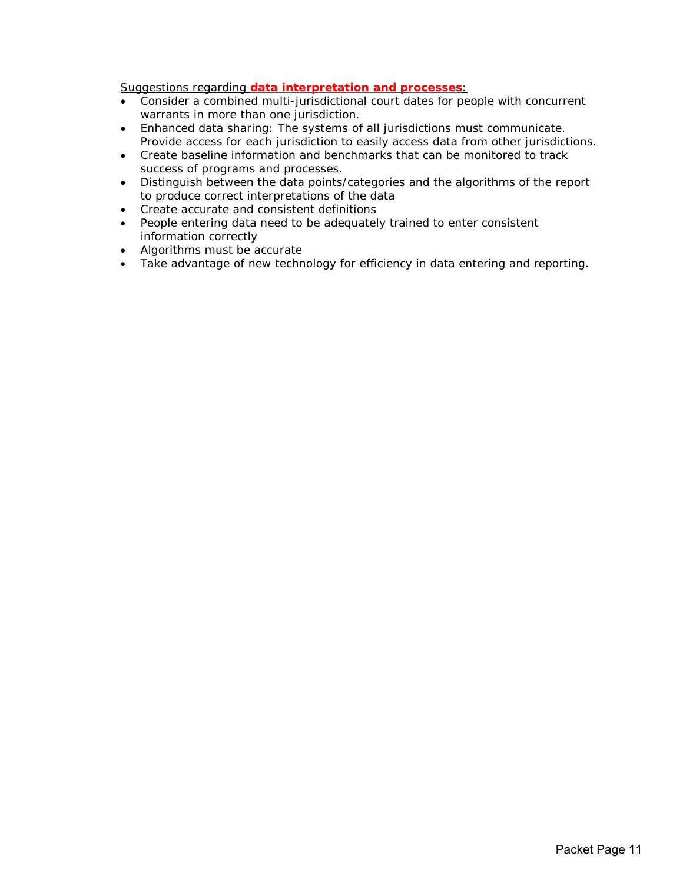Suggestions regarding **data interpretation and processes**:

- Consider a combined multi-jurisdictional court dates for people with concurrent warrants in more than one jurisdiction.
- Enhanced data sharing: The systems of all jurisdictions must communicate. Provide access for each jurisdiction to easily access data from other jurisdictions.
- Create baseline information and benchmarks that can be monitored to track success of programs and processes.
- Distinguish between the data points/categories and the algorithms of the report to produce correct interpretations of the data
- Create accurate and consistent definitions
- People entering data need to be adequately trained to enter consistent information correctly
- Algorithms must be accurate
- Take advantage of new technology for efficiency in data entering and reporting.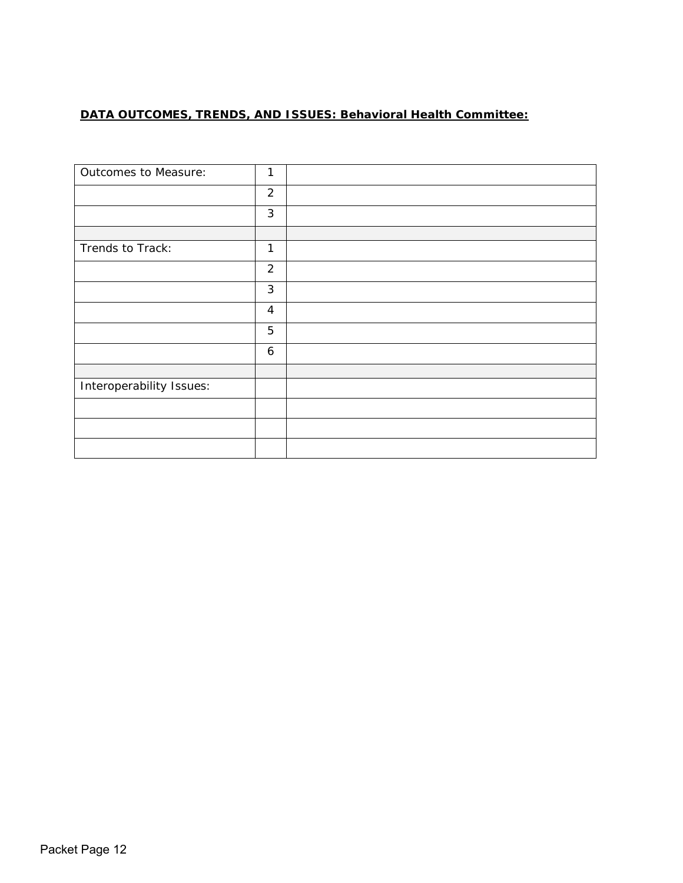# **DATA OUTCOMES, TRENDS, AND ISSUES: Behavioral Health Committee:**

| Outcomes to Measure:     | 1              |  |
|--------------------------|----------------|--|
|                          | $\overline{2}$ |  |
|                          | 3              |  |
|                          |                |  |
| Trends to Track:         | 1              |  |
|                          | $\overline{2}$ |  |
|                          | $\mathfrak{Z}$ |  |
|                          | $\overline{4}$ |  |
|                          | 5              |  |
|                          | 6              |  |
|                          |                |  |
| Interoperability Issues: |                |  |
|                          |                |  |
|                          |                |  |
|                          |                |  |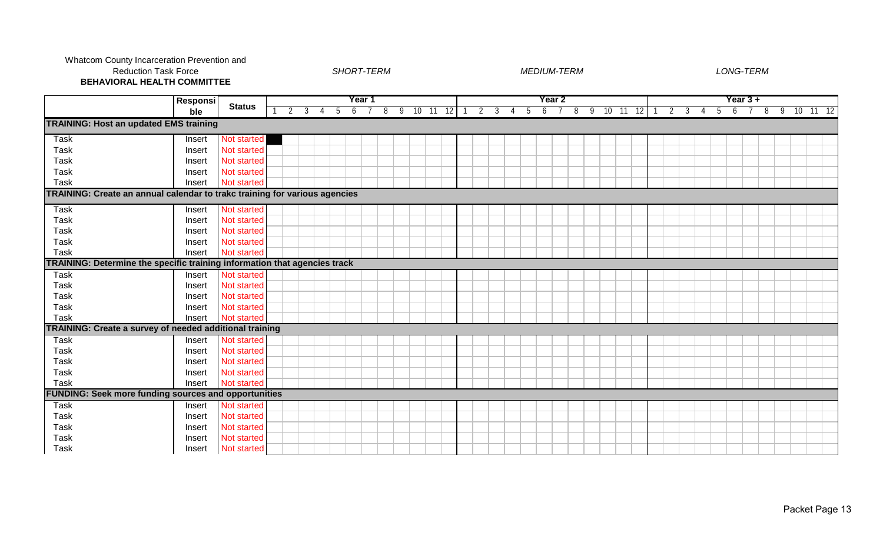#### Whatcom County Incarceration Prevention and Reduction Task Force

#### *SHORT-TERM MEDIUM-TERM LONG-TERM*

**BEHAVIORAL HEALTH COMMITTEE**

|                                                                            | <b>Responsi</b> |                    |                                  |    |    | Year 1          |  |                        |  |  |  | Year 2 |  |                |  |                  |                | Year 3 +          |  |             |            |  |
|----------------------------------------------------------------------------|-----------------|--------------------|----------------------------------|----|----|-----------------|--|------------------------|--|--|--|--------|--|----------------|--|------------------|----------------|-------------------|--|-------------|------------|--|
|                                                                            | ble             | <b>Status</b>      | $\overline{2}$<br>$\overline{3}$ | -4 | -5 | $6\overline{7}$ |  | 8 9 10 11 12 1 2 3 4 5 |  |  |  | 6 7    |  | 8 9 10 11 12 1 |  | $2 \overline{3}$ | $\overline{4}$ | $5\overline{6}$ 7 |  | $8 \quad 9$ | $10$ 11 12 |  |
| <b>TRAINING: Host an updated EMS training</b>                              |                 |                    |                                  |    |    |                 |  |                        |  |  |  |        |  |                |  |                  |                |                   |  |             |            |  |
| <b>Task</b>                                                                | Insert          | Not started        |                                  |    |    |                 |  |                        |  |  |  |        |  |                |  |                  |                |                   |  |             |            |  |
| <b>Task</b>                                                                | Insert          | Not started        |                                  |    |    |                 |  |                        |  |  |  |        |  |                |  |                  |                |                   |  |             |            |  |
| Task                                                                       | Insert          | Not started        |                                  |    |    |                 |  |                        |  |  |  |        |  |                |  |                  |                |                   |  |             |            |  |
| <b>Task</b>                                                                | Insert          | Not started        |                                  |    |    |                 |  |                        |  |  |  |        |  |                |  |                  |                |                   |  |             |            |  |
| <b>Task</b>                                                                | Insert          | Not started        |                                  |    |    |                 |  |                        |  |  |  |        |  |                |  |                  |                |                   |  |             |            |  |
| TRAINING: Create an annual calendar to trakc training for various agencies |                 |                    |                                  |    |    |                 |  |                        |  |  |  |        |  |                |  |                  |                |                   |  |             |            |  |
| <b>Task</b>                                                                | Insert          | Not started        |                                  |    |    |                 |  |                        |  |  |  |        |  |                |  |                  |                |                   |  |             |            |  |
| <b>Task</b>                                                                | Insert          | Not started        |                                  |    |    |                 |  |                        |  |  |  |        |  |                |  |                  |                |                   |  |             |            |  |
| <b>Task</b>                                                                | Insert          | Not started        |                                  |    |    |                 |  |                        |  |  |  |        |  |                |  |                  |                |                   |  |             |            |  |
| <b>Task</b>                                                                | Insert          | Not started        |                                  |    |    |                 |  |                        |  |  |  |        |  |                |  |                  |                |                   |  |             |            |  |
| <b>Task</b>                                                                | Insert          | Not started        |                                  |    |    |                 |  |                        |  |  |  |        |  |                |  |                  |                |                   |  |             |            |  |
| TRAINING: Determine the specific training information that agencies track  |                 |                    |                                  |    |    |                 |  |                        |  |  |  |        |  |                |  |                  |                |                   |  |             |            |  |
| <b>Task</b>                                                                | Insert          | Not started        |                                  |    |    |                 |  |                        |  |  |  |        |  |                |  |                  |                |                   |  |             |            |  |
| <b>Task</b>                                                                | Insert          | Not started        |                                  |    |    |                 |  |                        |  |  |  |        |  |                |  |                  |                |                   |  |             |            |  |
| Task                                                                       | Insert          | Not started        |                                  |    |    |                 |  |                        |  |  |  |        |  |                |  |                  |                |                   |  |             |            |  |
| <b>Task</b>                                                                | Insert          | Not started        |                                  |    |    |                 |  |                        |  |  |  |        |  |                |  |                  |                |                   |  |             |            |  |
| <b>Task</b>                                                                | Insert          | Not started        |                                  |    |    |                 |  |                        |  |  |  |        |  |                |  |                  |                |                   |  |             |            |  |
| TRAINING: Create a survey of needed additional training                    |                 |                    |                                  |    |    |                 |  |                        |  |  |  |        |  |                |  |                  |                |                   |  |             |            |  |
| Task                                                                       | Insert          | Not started        |                                  |    |    |                 |  |                        |  |  |  |        |  |                |  |                  |                |                   |  |             |            |  |
| Task                                                                       | Insert          | Not started        |                                  |    |    |                 |  |                        |  |  |  |        |  |                |  |                  |                |                   |  |             |            |  |
| <b>Task</b>                                                                | Insert          | Not started        |                                  |    |    |                 |  |                        |  |  |  |        |  |                |  |                  |                |                   |  |             |            |  |
| <b>Task</b>                                                                | Insert          | Not started        |                                  |    |    |                 |  |                        |  |  |  |        |  |                |  |                  |                |                   |  |             |            |  |
| <b>Task</b>                                                                | Insert          | Not started        |                                  |    |    |                 |  |                        |  |  |  |        |  |                |  |                  |                |                   |  |             |            |  |
| <b>FUNDING: Seek more funding sources and opportunities</b>                |                 |                    |                                  |    |    |                 |  |                        |  |  |  |        |  |                |  |                  |                |                   |  |             |            |  |
| <b>Task</b>                                                                | Insert          | <b>Not started</b> |                                  |    |    |                 |  |                        |  |  |  |        |  |                |  |                  |                |                   |  |             |            |  |
| <b>Task</b>                                                                | Insert          | Not started        |                                  |    |    |                 |  |                        |  |  |  |        |  |                |  |                  |                |                   |  |             |            |  |
| <b>Task</b>                                                                | Insert          | Not started        |                                  |    |    |                 |  |                        |  |  |  |        |  |                |  |                  |                |                   |  |             |            |  |
| <b>Task</b>                                                                | Insert          | Not started        |                                  |    |    |                 |  |                        |  |  |  |        |  |                |  |                  |                |                   |  |             |            |  |
| Task                                                                       | Insert          | Not started        |                                  |    |    |                 |  |                        |  |  |  |        |  |                |  |                  |                |                   |  |             |            |  |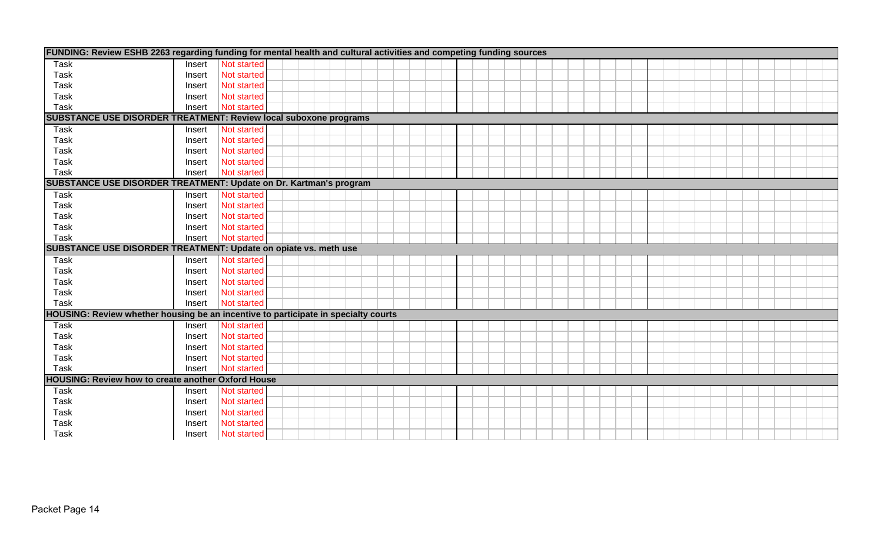|                                                           |        | FUNDING: Review ESHB 2263 regarding funding for mental health and cultural activities and competing funding sources |
|-----------------------------------------------------------|--------|---------------------------------------------------------------------------------------------------------------------|
| Task                                                      | Insert | Not started                                                                                                         |
| <b>Task</b>                                               | Insert | Not started                                                                                                         |
| <b>Task</b>                                               | Insert | Not started                                                                                                         |
| <b>Task</b>                                               | Insert | <b>Not started</b>                                                                                                  |
| <b>Task</b>                                               | Insert | Not started                                                                                                         |
|                                                           |        | SUBSTANCE USE DISORDER TREATMENT: Review local suboxone programs                                                    |
| Task                                                      | Insert | Not started                                                                                                         |
| Task                                                      | Insert | Not started                                                                                                         |
| <b>Task</b>                                               | Insert | Not started                                                                                                         |
| Task                                                      | Insert | Not started                                                                                                         |
| Task                                                      | Insert | Not started                                                                                                         |
|                                                           |        | SUBSTANCE USE DISORDER TREATMENT: Update on Dr. Kartman's program                                                   |
| Task                                                      | Insert | Not started                                                                                                         |
| <b>Task</b>                                               | Insert | Not started                                                                                                         |
| <b>Task</b>                                               | Insert | Not started                                                                                                         |
| <b>Task</b>                                               | Insert | Not started                                                                                                         |
| <b>Task</b>                                               | Insert | Not started                                                                                                         |
|                                                           |        | SUBSTANCE USE DISORDER TREATMENT: Update on opiate vs. meth use                                                     |
| Task                                                      | Insert | Not started                                                                                                         |
| <b>Task</b>                                               | Insert | Not started                                                                                                         |
| <b>Task</b>                                               | Insert | Not started                                                                                                         |
| <b>Task</b>                                               | Insert | <b>Not started</b>                                                                                                  |
| <b>Task</b>                                               | Insert | Not started                                                                                                         |
|                                                           |        | HOUSING: Review whether housing be an incentive to participate in specialty courts                                  |
| <b>Task</b>                                               | Insert | Not started                                                                                                         |
| <b>Task</b>                                               | Insert | Not started                                                                                                         |
| <b>Task</b>                                               | Insert | Not started                                                                                                         |
| <b>Task</b>                                               | Insert | Not started                                                                                                         |
| <b>Task</b>                                               | Insert | Not started                                                                                                         |
| <b>HOUSING: Review how to create another Oxford House</b> |        |                                                                                                                     |
| <b>Task</b>                                               | Insert | Not started                                                                                                         |
| <b>Task</b>                                               | Insert | Not started                                                                                                         |
| <b>Task</b>                                               | Insert | Not started                                                                                                         |
| <b>Task</b>                                               | Insert | Not started                                                                                                         |
| <b>Task</b>                                               | Insert | Not started                                                                                                         |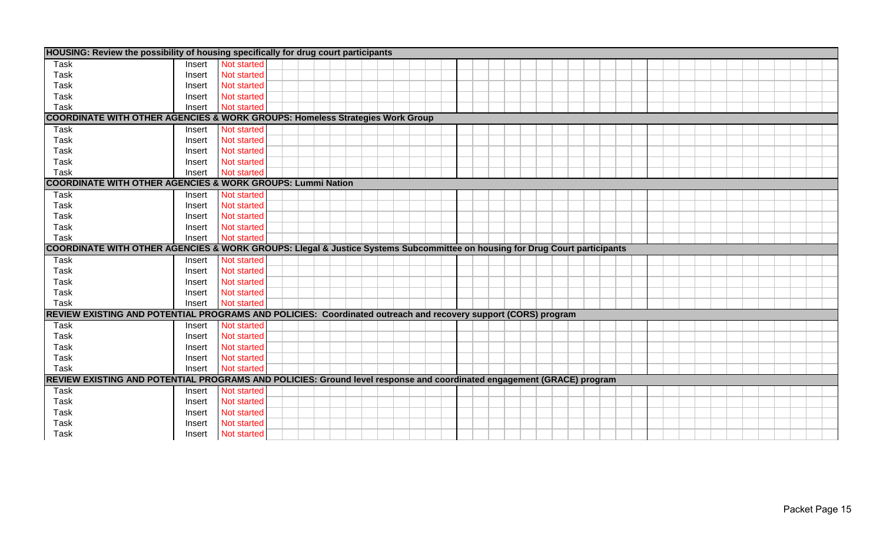|              |                  | HOUSING: Review the possibility of housing specifically for drug court participants                                        |  |
|--------------|------------------|----------------------------------------------------------------------------------------------------------------------------|--|
| <b>Task</b>  | Insert           | Not started                                                                                                                |  |
| <b>Task</b>  | Insert           | Not started                                                                                                                |  |
| Task         | Insert           | Not started                                                                                                                |  |
| Task         | Insert           | Not started                                                                                                                |  |
| <b>Task</b>  | Insert           | Not started                                                                                                                |  |
|              |                  | <b>COORDINATE WITH OTHER AGENCIES &amp; WORK GROUPS: Homeless Strategies Work Group</b>                                    |  |
| <b>Task</b>  | Insert           | <b>Not started</b>                                                                                                         |  |
| Task         | Insert           | Not started                                                                                                                |  |
| <b>Task</b>  | Insert           | Not started                                                                                                                |  |
| <b>Task</b>  | Insert           | Not started                                                                                                                |  |
| Task         | Insert           | Not started                                                                                                                |  |
|              |                  | <b>COORDINATE WITH OTHER AGENCIES &amp; WORK GROUPS: Lummi Nation</b>                                                      |  |
| <b>Task</b>  | Insert           | Not started                                                                                                                |  |
| <b>Task</b>  | Insert           | Not started                                                                                                                |  |
| <b>Task</b>  | Insert           | Not started                                                                                                                |  |
| <b>Task</b>  | Insert           | Not started                                                                                                                |  |
| Task         | Insert           | Not started                                                                                                                |  |
|              |                  |                                                                                                                            |  |
|              |                  | COORDINATE WITH OTHER AGENCIES & WORK GROUPS: Llegal & Justice Systems Subcommittee on housing for Drug Court participants |  |
| Task         | Insert           | Not started                                                                                                                |  |
| Task         | Insert           | Not started                                                                                                                |  |
| Task         | Insert           | Not started                                                                                                                |  |
| <b>Task</b>  | Insert           | Not started                                                                                                                |  |
| Task         | Insert           | Not started                                                                                                                |  |
|              |                  | REVIEW EXISTING AND POTENTIAL PROGRAMS AND POLICIES: Coordinated outreach and recovery support (CORS) program              |  |
| <b>Task</b>  | Insert           | Not started                                                                                                                |  |
| <b>Task</b>  | Insert           | <b>Not started</b>                                                                                                         |  |
| Task         | Insert           | Not started                                                                                                                |  |
| <b>Task</b>  | Insert           | Not started                                                                                                                |  |
| <b>Task</b>  | Insert           | Not started                                                                                                                |  |
|              |                  | REVIEW EXISTING AND POTENTIAL PROGRAMS AND POLICIES: Ground level response and coordinated engagement (GRACE) program      |  |
| <b>Task</b>  | Insert           | Not started                                                                                                                |  |
| Task         | Insert           | Not started                                                                                                                |  |
| Task         | Insert           | Not started                                                                                                                |  |
| Task<br>Task | Insert<br>Insert | Not started<br>Not started                                                                                                 |  |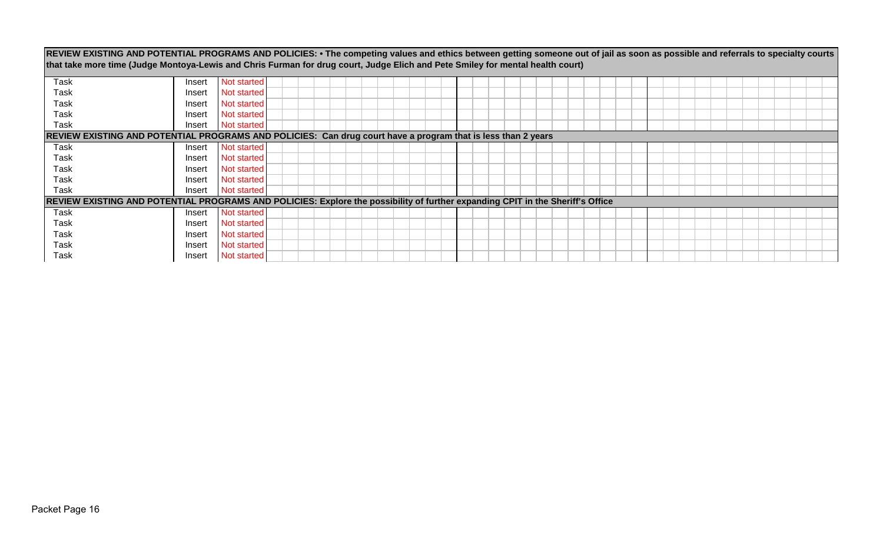| REVIEW EXISTING AND POTENTIAL PROGRAMS AND POLICIES: • The competing values and ethics between getting someone out of jail as soon as possible and referrals to specialty courts<br>that take more time (Judge Montoya-Lewis and Chris Furman for drug court, Judge Elich and Pete Smiley for mental health court) |        |             |  |  |  |  |  |  |  |  |  |  |  |  |  |  |  |
|--------------------------------------------------------------------------------------------------------------------------------------------------------------------------------------------------------------------------------------------------------------------------------------------------------------------|--------|-------------|--|--|--|--|--|--|--|--|--|--|--|--|--|--|--|
|                                                                                                                                                                                                                                                                                                                    |        |             |  |  |  |  |  |  |  |  |  |  |  |  |  |  |  |
| Task                                                                                                                                                                                                                                                                                                               | Insert | Not started |  |  |  |  |  |  |  |  |  |  |  |  |  |  |  |
| Task                                                                                                                                                                                                                                                                                                               | Insert | Not started |  |  |  |  |  |  |  |  |  |  |  |  |  |  |  |
| Task                                                                                                                                                                                                                                                                                                               | Insert | Not started |  |  |  |  |  |  |  |  |  |  |  |  |  |  |  |
| Task                                                                                                                                                                                                                                                                                                               | Insert | Not started |  |  |  |  |  |  |  |  |  |  |  |  |  |  |  |
| Task                                                                                                                                                                                                                                                                                                               | Insert | Not started |  |  |  |  |  |  |  |  |  |  |  |  |  |  |  |
| REVIEW EXISTING AND POTENTIAL PROGRAMS AND POLICIES: Can drug court have a program that is less than 2 years                                                                                                                                                                                                       |        |             |  |  |  |  |  |  |  |  |  |  |  |  |  |  |  |
| Task                                                                                                                                                                                                                                                                                                               | Insert | Not started |  |  |  |  |  |  |  |  |  |  |  |  |  |  |  |
| Task                                                                                                                                                                                                                                                                                                               | Insert | Not started |  |  |  |  |  |  |  |  |  |  |  |  |  |  |  |
| Task                                                                                                                                                                                                                                                                                                               | Insert | Not started |  |  |  |  |  |  |  |  |  |  |  |  |  |  |  |
| Task                                                                                                                                                                                                                                                                                                               | Insert | Not started |  |  |  |  |  |  |  |  |  |  |  |  |  |  |  |
| Task                                                                                                                                                                                                                                                                                                               | Insert | Not started |  |  |  |  |  |  |  |  |  |  |  |  |  |  |  |
| REVIEW EXISTING AND POTENTIAL PROGRAMS AND POLICIES: Explore the possibility of further expanding CPIT in the Sheriff's Office                                                                                                                                                                                     |        |             |  |  |  |  |  |  |  |  |  |  |  |  |  |  |  |
| Task                                                                                                                                                                                                                                                                                                               | Insert | Not started |  |  |  |  |  |  |  |  |  |  |  |  |  |  |  |
| Task                                                                                                                                                                                                                                                                                                               | Insert | Not started |  |  |  |  |  |  |  |  |  |  |  |  |  |  |  |
| Task                                                                                                                                                                                                                                                                                                               | Insert | Not started |  |  |  |  |  |  |  |  |  |  |  |  |  |  |  |
| Task                                                                                                                                                                                                                                                                                                               | Insert | Not started |  |  |  |  |  |  |  |  |  |  |  |  |  |  |  |
| Task                                                                                                                                                                                                                                                                                                               | Insert | Not started |  |  |  |  |  |  |  |  |  |  |  |  |  |  |  |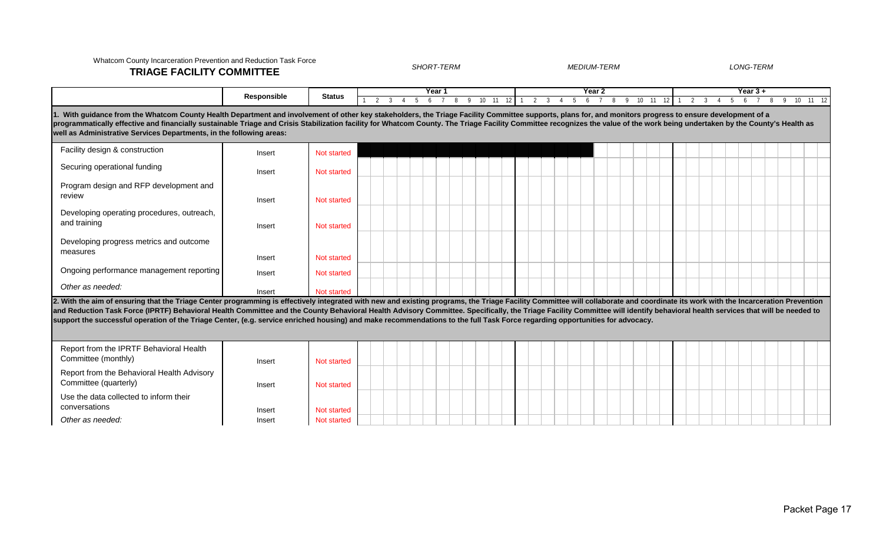# 1 2 3 4 5 6 7 8 9 10 11 12 1 2 3 4 5 6 7 8 9 10 11 12 1 2 3 4 5 6 7 8 9 10 11 12 Facility design & construction Insert Not started Securing operational funding Insert Not started Program design and RFP development and review **Insert Not started** Developing operating procedures, outreach, and training Theorem 2012 Contract Contract Contract Contract Contract Contract Contract Contract Contract Contract Contract Contract Contract Contract Contract Contract Contract Contract Contract Contract Contract Contrac Developing progress metrics and outcome measures Insert Not started Ongoing performance management reporting Insert Insert Not started *Other as needed:* Insert Not started Report from the IPRTF Behavioral Health Committee (monthly) **Insert Not started** Report from the Behavioral Health Advisory Committee (quarterly) **Insert** Insert Not started Use the data collected to inform their conversations and a set of the local conversations of the local property insert no Not started 2. With the aim of ensuring that the Triage Center programming is effectively integrated with new and existing programs, the Triage Facility Committee will collaborate and coordinate its work with the Incarceration Prevent and Reduction Task Force (IPRTF) Behavioral Health Committee and the County Behavioral Health Advisory Committee. Specifically, the Triage Facility Committee will identify behavioral health services that will be needed to **support the successful operation of the Triage Center, (e.g. service enriched housing) and make recommendations to the full Task Force regarding opportunities for advocacy. Responsible Status 1 Pear 1 Pear 1 Pear 2 Pear 3 + Pear 3 + Pear 3 + Pear 3 + Pear 3 + Pear 3 + Pear 3 + Pear 3 + Pear 3 + Pear 3 + Pear 3 + Pear 3 + Pear 3 + Pear 3 + Pear 3 + Pe** Whatcom County Incarceration Prevention and Reduction Task Force **TRIAGE FACILITY COMMITTEE** *SHORT-TERM MEDIUM-TERM LONG-TERM* With guidance from the Whatcom County Health Department and involvement of other key stakeholders, the Triage Facility Committee supports, plans for, and monitors progress to ensure development of a programmatically effective and financially sustainable Triage and Crisis Stabilization facility for Whatcom County. The Triage Facility Committee recognizes the value of the work being undertaken by the County's Health as **well as Administrative Services Departments, in the following areas:**

**Other as needed: Insert Not started Not started**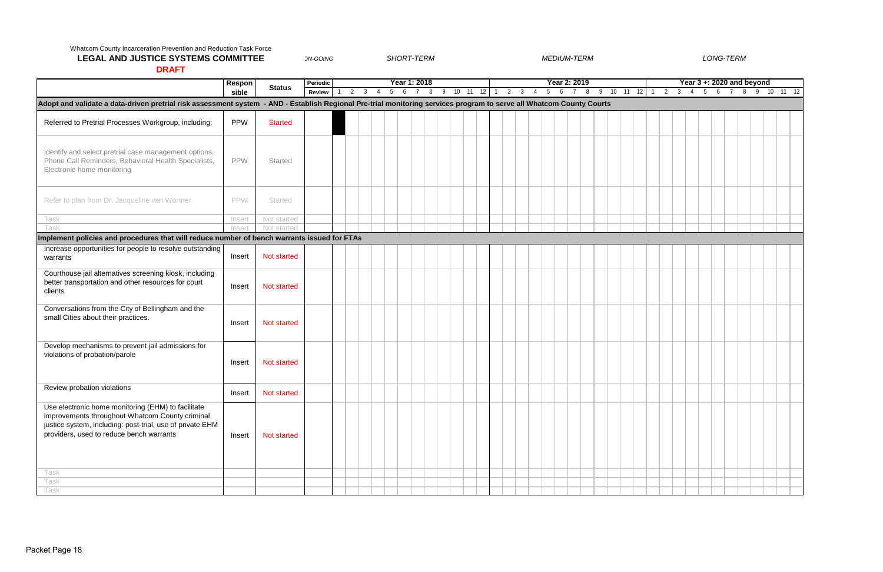*ON-GOING*

|                                                                                                                                                                                                                | Respon     |                | Periodic      |        |  |     | Year 1: 2018 |                |          |  |             |                |       | Year 2: 2019 |              |  |                     |  | Year $3 + 2020$ and beyond |  |                    |  |
|----------------------------------------------------------------------------------------------------------------------------------------------------------------------------------------------------------------|------------|----------------|---------------|--------|--|-----|--------------|----------------|----------|--|-------------|----------------|-------|--------------|--------------|--|---------------------|--|----------------------------|--|--------------------|--|
|                                                                                                                                                                                                                | sible      | <b>Status</b>  | <b>Review</b> | 2<br>3 |  | 5 6 | $7 \quad 8$  | $\overline{9}$ | 10 11 12 |  | $2 \quad 3$ | $\overline{4}$ | 5 6 7 |              | 8 9 10 11 12 |  | $2 \quad 3 \quad 4$ |  |                            |  | 5 6 7 8 9 10 11 12 |  |
| Adopt and validate a data-driven pretrial risk assessment system - AND - Establish Regional Pre-trial monitoring services program to serve all Whatcom County Courts                                           |            |                |               |        |  |     |              |                |          |  |             |                |       |              |              |  |                     |  |                            |  |                    |  |
|                                                                                                                                                                                                                |            |                |               |        |  |     |              |                |          |  |             |                |       |              |              |  |                     |  |                            |  |                    |  |
| Referred to Pretrial Processes Workgroup, including:                                                                                                                                                           | <b>PPW</b> | <b>Started</b> |               |        |  |     |              |                |          |  |             |                |       |              |              |  |                     |  |                            |  |                    |  |
| Identify and select pretrial case management options:<br>Phone Call Reminders, Behavioral Health Specialists,<br>Electronic home monitoring                                                                    | <b>PPW</b> | Started        |               |        |  |     |              |                |          |  |             |                |       |              |              |  |                     |  |                            |  |                    |  |
| Refer to plan from Dr. Jacqueline van Wormer                                                                                                                                                                   | PPW        | Started        |               |        |  |     |              |                |          |  |             |                |       |              |              |  |                     |  |                            |  |                    |  |
| Task                                                                                                                                                                                                           | Insert     | Not started    |               |        |  |     |              |                |          |  |             |                |       |              |              |  |                     |  |                            |  |                    |  |
| Task                                                                                                                                                                                                           | Insert     | Not started    |               |        |  |     |              |                |          |  |             |                |       |              |              |  |                     |  |                            |  |                    |  |
| Implement policies and procedures that will reduce number of bench warrants issued for FTAs                                                                                                                    |            |                |               |        |  |     |              |                |          |  |             |                |       |              |              |  |                     |  |                            |  |                    |  |
| Increase opportunities for people to resolve outstanding<br>warrants                                                                                                                                           | Insert     | Not started    |               |        |  |     |              |                |          |  |             |                |       |              |              |  |                     |  |                            |  |                    |  |
| Courthouse jail alternatives screening kiosk, including<br>better transportation and other resources for court<br>clients                                                                                      | Insert     | Not started    |               |        |  |     |              |                |          |  |             |                |       |              |              |  |                     |  |                            |  |                    |  |
| Conversations from the City of Bellingham and the<br>small Cities about their practices.                                                                                                                       | Insert     | Not started    |               |        |  |     |              |                |          |  |             |                |       |              |              |  |                     |  |                            |  |                    |  |
| Develop mechanisms to prevent jail admissions for<br>violations of probation/parole                                                                                                                            | Insert     | Not started    |               |        |  |     |              |                |          |  |             |                |       |              |              |  |                     |  |                            |  |                    |  |
| Review probation violations                                                                                                                                                                                    | Insert     | Not started    |               |        |  |     |              |                |          |  |             |                |       |              |              |  |                     |  |                            |  |                    |  |
| Use electronic home monitoring (EHM) to facilitate<br>improvements throughout Whatcom County criminal<br>justice system, including: post-trial, use of private EHM<br>providers, used to reduce bench warrants | Insert     | Not started    |               |        |  |     |              |                |          |  |             |                |       |              |              |  |                     |  |                            |  |                    |  |
| Task                                                                                                                                                                                                           |            |                |               |        |  |     |              |                |          |  |             |                |       |              |              |  |                     |  |                            |  |                    |  |
| Task                                                                                                                                                                                                           |            |                |               |        |  |     |              |                |          |  |             |                |       |              |              |  |                     |  |                            |  |                    |  |
| Task                                                                                                                                                                                                           |            |                |               |        |  |     |              |                |          |  |             |                |       |              |              |  |                     |  |                            |  |                    |  |

#### Whatcom County Incarceration Prevention and Reduction Task Force

# **LEGAL AND JUSTICE SYSTEMS COMMITTEE**

**DRAFT**

*SHORT-TERM MEDIUM-TERM LONG-TERM*